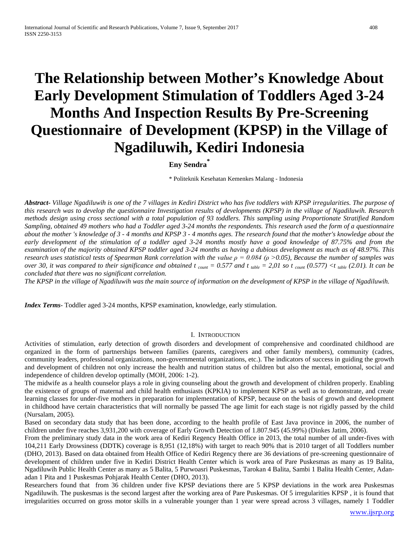# **The Relationship between Mother's Knowledge About Early Development Stimulation of Toddlers Aged 3-24 Months And Inspection Results By Pre-Screening Questionnaire of Development (KPSP) in the Village of Ngadiluwih, Kediri Indonesia**

# **Eny Sendra\***

\* Politeknik Kesehatan Kemenkes Malang - Indonesia

*Abstract***-** *Village Ngadiluwih is one of the 7 villages in Kediri District who has five toddlers with KPSP irregularities. The purpose of this research was to develop the questionnaire Investigation results of developments (KPSP) in the village of Ngadiluwih. Research methods design using cross sectional with a total population of 93 toddlers. This sampling using Proportionate Stratified Random Sampling, obtained 49 mothers who had a Toddler aged 3-24 months the respondents. This research used the form of a questionnaire about the mother 's knowledge of 3 - 4 months and KPSP 3 - 4 months ages. The research found that the mother's knowledge about the early development of the stimulation of a toddler aged 3-24 months mostly have a good knowledge of 87.75% and from the examination of the majority obtained KPSP toddler aged 3-24 months as having a dubious development as much as of 48.97%. This research uses statistical tests of Spearman Rank correlation with the value*  $\rho = 0.084$  *(* $\rho > 0.05$ *), Because the number of samples was* over 30, it was compared to their significance and obtained t count = 0.577 and t <sub>table</sub> = 2,01 so t count (0.577) <t table (2.01). It can be *concluded that there was no significant correlation.*

*The KPSP in the village of Ngadiluwih was the main source of information on the development of KPSP in the village of Ngadiluwih.*

*Index Terms*- Toddler aged 3-24 months, KPSP examination, knowledge, early stimulation.

## I. INTRODUCTION

Activities of stimulation, early detection of growth disorders and development of comprehensive and coordinated childhood are organized in the form of partnerships between families (parents, caregivers and other family members), community (cadres, community leaders, professional organizations, non-governmental organizations, etc.). The indicators of success in guiding the growth and development of children not only increase the health and nutrition status of children but also the mental, emotional, social and independence of children develop optimally (MOH, 2006: 1-2).

The midwife as a health counselor plays a role in giving counseling about the growth and development of children properly. Enabling the existence of groups of maternal and child health enthusiasts (KPKIA) to implement KPSP as well as to demonstrate, and create learning classes for under-five mothers in preparation for implementation of KPSP, because on the basis of growth and development in childhood have certain characteristics that will normally be passed The age limit for each stage is not rigidly passed by the child (Nursalam, 2005).

Based on secondary data study that has been done, according to the health profile of East Java province in 2006, the number of children under five reaches 3,931,200 with coverage of Early Growth Detection of 1.807.945 (45.99%) (Dinkes Jatim, 2006).

From the preliminary study data in the work area of Kediri Regency Health Office in 2013, the total number of all under-fives with 104,211 Early Drowsiness (DDTK) coverage is 8,951 (12,18%) with target to reach 90% that is 2010 target of all Toddlers number (DHO, 2013). Based on data obtained from Health Office of Kediri Regency there are 36 deviations of pre-screening questionnaire of development of children under five in Kediri District Health Center which is work area of Pare Puskesmas as many as 19 Balita, Ngadiluwih Public Health Center as many as 5 Balita, 5 Purwoasri Puskesmas, Tarokan 4 Balita, Sambi 1 Balita Health Center, Adanadan 1 Pita and 1 Puskesmas Pohjarak Health Center (DHO, 2013).

Researchers found that from 36 children under five KPSP deviations there are 5 KPSP deviations in the work area Puskesmas Ngadiluwih. The puskesmas is the second largest after the working area of Pare Puskesmas. Of 5 irregularities KPSP , it is found that irregularities occurred on gross motor skills in a vulnerable younger than 1 year were spread across 3 villages, namely 1 Toddler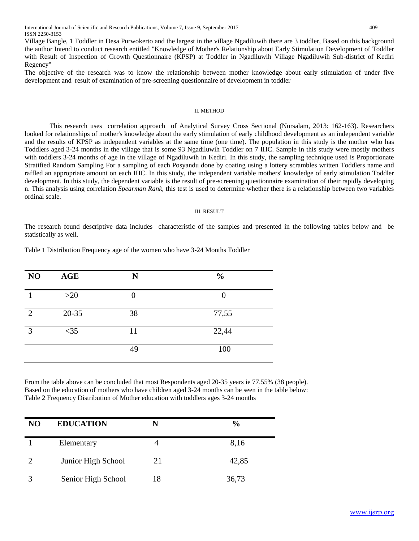Village Bangle, 1 Toddler in Desa Purwokerto and the largest in the village Ngadiluwih there are 3 toddler, Based on this background the author Intend to conduct research entitled "Knowledge of Mother's Relationship about Early Stimulation Development of Toddler with Result of Inspection of Growth Questionnaire (KPSP) at Toddler in Ngadiluwih Village Ngadiluwih Sub-district of Kediri Regency"

The objective of the research was to know the relationship between mother knowledge about early stimulation of under five development and result of examination of pre-screening questionnaire of development in toddler

#### II. METHOD

 This research uses correlation approach of Analytical Survey Cross Sectional (Nursalam, 2013: 162-163). Researchers looked for relationships of mother's knowledge about the early stimulation of early childhood development as an independent variable and the results of KPSP as independent variables at the same time (one time). The population in this study is the mother who has Toddlers aged 3-24 months in the village that is some 93 Ngadiluwih Toddler on 7 IHC. Sample in this study were mostly mothers with toddlers 3-24 months of age in the village of Ngadiluwih in Kediri. In this study, the sampling technique used is Proportionate Stratified Random Sampling For a sampling of each Posyandu done by coating using a lottery scrambles written Toddlers name and raffled an appropriate amount on each IHC. In this study, the independent variable mothers' knowledge of early stimulation Toddler development. In this study, the dependent variable is the result of pre-screening questionnaire examination of their rapidly developing n. This analysis using correlation *Spearman Rank,* this test is used to determine whether there is a relationship between two variables ordinal scale.

# III. RESULT

The research found descriptive data includes characteristic of the samples and presented in the following tables below and be statistically as well.

Table 1 Distribution Frequency age of the women who have 3-24 Months Toddler

| NO | AGE       | N  | $\frac{0}{0}$ |
|----|-----------|----|---------------|
|    | $>20$     | U  |               |
| 2  | $20 - 35$ | 38 | 77,55         |
| 3  | $<$ 35    | 11 | 22,44         |
|    |           | 49 | 100           |

From the table above can be concluded that most Respondents aged 20-35 years ie 77.55% (38 people). Based on the education of mothers who have children aged 3-24 months can be seen in the table below: Table 2 Frequency Distribution of Mother education with toddlers ages 3-24 months

| N <sub>O</sub> | <b>EDUCATION</b>   |    | $\frac{0}{0}$ |
|----------------|--------------------|----|---------------|
|                | Elementary         |    | 8,16          |
|                | Junior High School | 21 | 42,85         |
|                | Senior High School | 18 | 36,73         |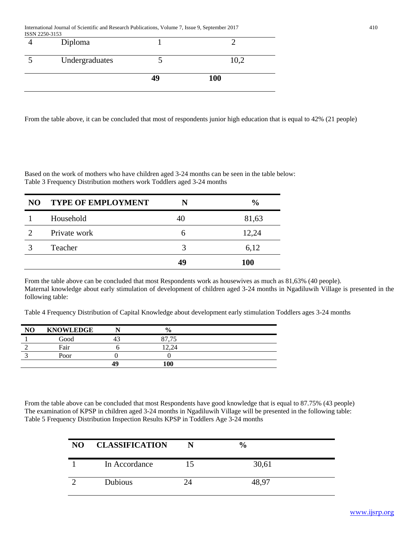International Journal of Scientific and Research Publications, Volume 7, Issue 9, September 2017 410 ICCNL $2250-215$ 

|                | 49 | <b>100</b> |
|----------------|----|------------|
| Undergraduates |    | 10,2       |
| Diploma        |    |            |

From the table above, it can be concluded that most of respondents junior high education that is equal to 42% (21 people)

Based on the work of mothers who have children aged 3-24 months can be seen in the table below: Table 3 Frequency Distribution mothers work Toddlers aged 3-24 months

| N <sub>O</sub> | <b>TYPE OF EMPLOYMENT</b> | N  | $\frac{6}{9}$ |
|----------------|---------------------------|----|---------------|
|                | Household                 | 40 | 81,63         |
|                | Private work              | 6  | 12,24         |
|                | Teacher                   | 3  | 6,12          |
|                |                           | 49 | 100           |

From the table above can be concluded that most Respondents work as housewives as much as 81,63% (40 people). Maternal knowledge about early stimulation of development of children aged 3-24 months in Ngadiluwih Village is presented in the following table:

Table 4 Frequency Distribution of Capital Knowledge about development early stimulation Toddlers ages 3-24 months

| N <sub>O</sub> | <b>KNOWLEDGE</b> |    | $\mathbf{0}$ |  |
|----------------|------------------|----|--------------|--|
|                | Good             |    | 87.75        |  |
|                | Fair             |    | .2.24        |  |
|                | Poor             |    |              |  |
|                |                  | 40 | 100          |  |

From the table above can be concluded that most Respondents have good knowledge that is equal to 87.75% (43 people) The examination of KPSP in children aged 3-24 months in Ngadiluwih Village will be presented in the following table: Table 5 Frequency Distribution Inspection Results KPSP in Toddlers Age 3-24 months

| NO. | <b>CLASSIFICATION</b> |    | $\frac{0}{0}$ |  |
|-----|-----------------------|----|---------------|--|
|     | In Accordance         |    | 30,61         |  |
|     | <b>Dubious</b>        | 24 | 48,97         |  |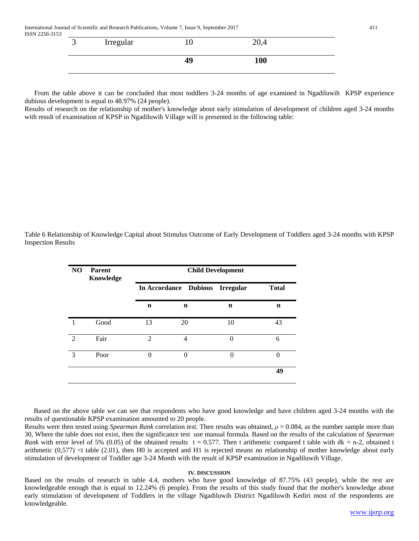| . . | Irregular | ΙU | 20,4       |  |
|-----|-----------|----|------------|--|
|     |           | 49 | <b>100</b> |  |

 From the table above it can be concluded that most toddlers 3-24 months of age examined in Ngadiluwih KPSP experience dubious development is equal to 48.97% (24 people).

Results of research on the relationship of mother's knowledge about early stimulation of development of children aged 3-24 months with result of examination of KPSP in Ngadiluwih Village will is presented in the following table:

Table 6 Relationship of Knowledge Capital about Stimulus Outcome of Early Development of Toddlers aged 3-24 months with KPSP Inspection Results

| N <sub>O</sub> | <b>Parent</b><br>Knowledge | <b>Child Development</b> |                       |                  |              |
|----------------|----------------------------|--------------------------|-----------------------|------------------|--------------|
|                |                            |                          | In Accordance Dubious | <b>Irregular</b> | <b>Total</b> |
|                |                            | $\mathbf n$              | $\mathbf n$           | $\mathbf n$      | $\mathbf n$  |
|                | Good                       | 13                       | 20                    | 10               | 43           |
| 2              | Fair                       | $\overline{2}$           | 4                     | 0                | 6            |
| 3              | Poor                       | $\theta$                 | $\theta$              | $\Omega$         | $\Omega$     |
|                |                            |                          |                       |                  | 49           |

 Based on the above table we can see that respondents who have good knowledge and have children aged 3-24 months with the results of questionable KPSP examination amounted to 20 people.

Results were then tested using *Spearman Rank* correlation *test.* Then results was obtained, *ρ* = 0.084, as the number sample more than 30, Where the table does not exist, then the significance test use manual formula. Based on the results of the calculation of *Spearman Rank* with error level of 5% (0.05) of the obtained results  $t = 0.577$ . Then t arithmetic compared t table with dk = n-2, obtained t arithmetic  $(0.577)$  <t table  $(2.01)$ , then H0 is accepted and H1 is rejected means no relationship of mother knowledge about early stimulation of development of Toddler age 3-24 Month with the result of KPSP examination in Ngadiluwih Village.

## **IV. DISCUSSION**

Based on the results of research in table 4.4, mothers who have good knowledge of 87.75% (43 people), while the rest are knowledgeable enough that is equal to 12.24% (6 people). From the results of this study found that the mother's knowledge about early stimulation of development of Toddlers in the village Ngadiluwih District Ngadiluwih Kediri most of the respondents are knowledgeable.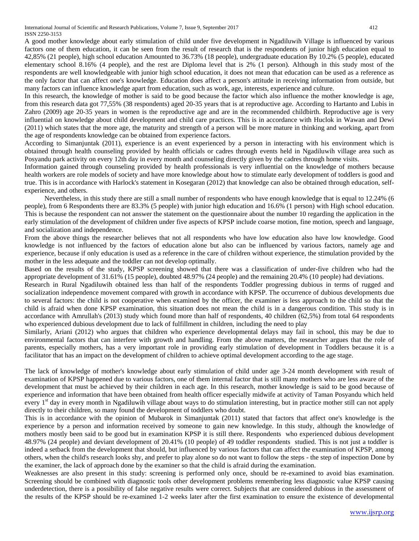A good mother knowledge about early stimulation of child under five development in Ngadiluwih Village is influenced by various factors one of them education, it can be seen from the result of research that is the respondents of junior high education equal to 42,85% (21 people), high school education Amounted to 36.73% (18 people), undergraduate education By 10.2% (5 people), educated elementary school 8.16% (4 people), and the rest are Diploma level that is 2% (1 person). Although in this study most of the respondents are well knowledgeable with junior high school education, it does not mean that education can be used as a reference as the only factor that can affect one's knowledge. Education does affect a person's attitude in receiving information from outside, but many factors can influence knowledge apart from education, such as work, age, interests, experience and culture.

In this research, the knowledge of mother is said to be good because the factor which also influence the mother knowledge is age, from this research data got 77,55% (38 respondents) aged 20-35 years that is at reproductive age. According to Hartanto and Lubis in Zahro (2009) age 20-35 years in women is the reproductive age and are in the recommended childbirth. Reproductive age is very influential on knowledge about child development and child care practices. This is in accordance with Huclok in Wawan and Dewi (2011) which states that the more age, the maturity and strength of a person will be more mature in thinking and working, apart from the age of respondents knowledge can be obtained from experience factors.

According to Simanjuntak (2011), experience is an event experienced by a person in interacting with his environment which is obtained through health counseling provided by health officials or cadres through events held in Ngadiluwih village area such as Posyandu park activity on every 12th day in every month and counseling directly given by the cadres through home visits.

Information gained through counseling provided by health professionals is very influential on the knowledge of mothers because health workers are role models of society and have more knowledge about how to stimulate early development of toddlers is good and true. This is in accordance with Harlock's statement in Kosegaran (2012) that knowledge can also be obtained through education, selfexperience, and others.

 Nevertheless, in this study there are still a small number of respondents who have enough knowledge that is equal to 12.24% (6 people), from 6 Respondents there are 83.3% (5 people) with junior high education and 16.6% (1 person) with High school education. This is because the respondent can not answer the statement on the questionnaire about the number 10 regarding the application in the early stimulation of the development of children under five aspects of KPSP include coarse motion, fine motion, speech and language, and socialization and independence.

From the above things the researcher believes that not all respondents who have low education also have low knowledge. Good knowledge is not influenced by the factors of education alone but also can be influenced by various factors, namely age and experience, because if only education is used as a reference in the care of children without experience, the stimulation provided by the mother in the less adequate and the toddler can not develop optimally.

Based on the results of the study, KPSP screening showed that there was a classification of under-five children who had the appropriate development of 31.61% (15 people), doubted 48.97% (24 people) and the remaining 20.4% (10 people) had deviations.

Research in Rural Ngadiluwih obtained less than half of the respondents Toddler progressing dubious in terms of rugged and socialization independence movement compared with growth in accordance with KPSP. The occurrence of dubious developments due to several factors: the child is not cooperative when examined by the officer, the examiner is less approach to the child so that the child is afraid when done KPSP examination, this situation does not mean the child is in a dangerous condition. This study is in accordance with Amrullah's (2013) study which found more than half of respondents, 40 children (62,5%) from total 64 respondents who experienced dubious development due to lack of fulfillment in children, including the need to play

Similarly, Ariani (2012) who argues that children who experience developmental delays may fail in school, this may be due to environmental factors that can interfere with growth and handling. From the above matters, the researcher argues that the role of parents, especially mothers, has a very important role in providing early stimulation of development in Toddlers because it is a facilitator that has an impact on the development of children to achieve optimal development according to the age stage.

The lack of knowledge of mother's knowledge about early stimulation of child under age 3-24 month development with result of examination of KPSP happened due to various factors, one of them internal factor that is still many mothers who are less aware of the development that must be achieved by their children in each age. In this research, mother knowledge is said to be good because of experience and information that have been obtained from health officer especially midwife at activity of Taman Posyandu which held every 1<sup>st</sup> day in every month in Ngadiluwih village about ways to do stimulation interesting, but in practice mother still can not apply directly to their children, so many found the development of toddlers who doubt.

This is in accordance with the opinion of Mubarok in Simanjuntak (2011) stated that factors that affect one's knowledge is the experience by a person and information received by someone to gain new knowledge. In this study, although the knowledge of mothers mostly been said to be good but in examination KPSP it is still there. Respondents who experienced dubious development 48.97% (24 people) and deviant development of 20.41% (10 people) of 49 toddler respondents studied. This is not just a toddler is indeed a setback from the development that should, but influenced by various factors that can affect the examination of KPSP, among others, when the child's research looks shy, and prefer to play alone so do not want to follow the steps - the step of inspection Done by the examiner, the lack of approach done by the examiner so that the child is afraid during the examination.

Weaknesses are also present in this study: screening is performed only once, should be re-examined to avoid bias examination. Screening should be combined with diagnostic tools other development problems remembering less diagnostic value KPSP causing underdetection, there is a possibility of false negative results were correct. Subjects that are considered dubious in the assessment of the results of the KPSP should be re-examined 1-2 weeks later after the first examination to ensure the existence of developmental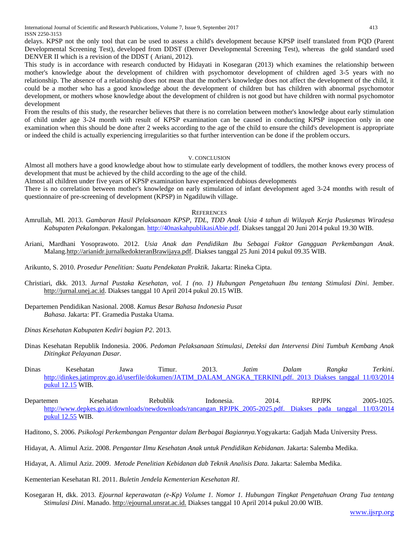International Journal of Scientific and Research Publications, Volume 7, Issue 9, September 2017 413 ISSN 2250-3153

delays. KPSP not the only tool that can be used to assess a child's development because KPSP itself translated from PQD (Parent Developmental Screening Test), developed from DDST (Denver Developmental Screening Test), whereas the gold standard used DENVER II which is a revision of the DDST ( Ariani, 2012).

This study is in accordance with research conducted by Hidayati in Kosegaran (2013) which examines the relationship between mother's knowledge about the development of children with psychomotor development of children aged 3-5 years with no relationship. The absence of a relationship does not mean that the mother's knowledge does not affect the development of the child, it could be a mother who has a good knowledge about the development of children but has children with abnormal psychomotor development, or mothers whose knowledge about the development of children is not good but have children with normal psychomotor development

From the results of this study, the researcher believes that there is no correlation between mother's knowledge about early stimulation of child under age 3-24 month with result of KPSP examination can be caused in conducting KPSP inspection only in one examination when this should be done after 2 weeks according to the age of the child to ensure the child's development is appropriate or indeed the child is actually experiencing irregularities so that further intervention can be done if the problem occurs.

# V. CONCLUSION

Almost all mothers have a good knowledge about how to stimulate early development of toddlers, the mother knows every process of development that must be achieved by the child according to the age of the child.

Almost all children under five years of KPSP examination have experienced dubious developments

There is no correlation between mother's knowledge on early stimulation of infant development aged 3-24 months with result of questionnaire of pre-screening of development (KPSP) in Ngadiluwih village.

#### **REFERENCES**

- Amrullah, MI. 2013. *Gambaran Hasil Pelaksanaan KPSP, TDL, TDD Anak Usia 4 tahun di Wilayah Kerja Puskesmas Wiradesa Kabupaten Pekalongan*. Pekalongan. [http://40naskahpublikasiAbie.pdf.](http://40naskahpublikasiabie.pdf/) Diakses tanggal 20 Juni 2014 pukul 19.30 WIB.
- Ariani, Mardhani Yosoprawoto. 2012. *Usia Anak dan Pendidikan Ibu Sebagai Faktor Gangguan Perkembangan Anak*. Malang.http://arianidr.jurnalkedokteranBrawijaya.pdf. Diakses tanggal 25 Juni 2014 pukul 09.35 WIB.
- Arikunto, S. 2010. *Prosedur Penelitian: Suatu Pendekatan Praktik.* Jakarta: Rineka Cipta.
- Christiari, dkk. 2013. *Jurnal Pustaka Kesehatan, vol. 1 (no. 1) Hubungan Pengetahuan Ibu tentang Stimulasi Dini*. Jember. [http://jurnal.unej.ac.id.](http://jurnal.unej.ac.id/) Diakses tanggal 10 April 2014 pukul 20.15 WIB.
- Departemen Pendidikan Nasional. 2008. *Kamus Besar Bahasa Indonesia Pusat Bahasa*. Jakarta: PT. Gramedia Pustaka Utama.
- *Dinas Kesehatan Kabupaten Kediri bagian P2*. 2013.
- Dinas Kesehatan Republik Indonesia. 2006. *Pedoman Pelaksanaan Stimulasi, Deteksi dan Intervensi Dini Tumbuh Kembang Anak Ditingkat Pelayanan Dasar.*
- Dinas Kesehatan Jawa Timur. 2013. *Jatim Dalam Rangka Terkini*. [http://dinkes.jatimprov.go.id/userfile/dokumen/JATIM\\_DALAM\\_ANGKA\\_TERKINI.pdf. 2013 Diakses tanggal 11/03/2014](http://dinkes.jatimprov.go.id/userfile/dokumen/JATIM_DALAM_ANGKA_TERKINI.pdf.%20Diakses%20tanggal%2011/03/2014%20pukul%2012.15)  [pukul 12.15](http://dinkes.jatimprov.go.id/userfile/dokumen/JATIM_DALAM_ANGKA_TERKINI.pdf.%20Diakses%20tanggal%2011/03/2014%20pukul%2012.15) WIB.
- Departemen Kesehatan Rebublik Indonesia. 2014. RPJPK 2005-1025. [http://www.depkes.go.id/downloads/newdownloads/rancangan\\_RPJPK\\_2005-2025.pdf. Diakses pada tanggal 11/03/2014](http://www.depkes.go.id/downloads/newdownloads/rancangan_RPJPK_2005-2025.pdf.%20Diakses%20pada%20tanggal%2011/03/2014%20pukul%2012.55)  [pukul 12.55](http://www.depkes.go.id/downloads/newdownloads/rancangan_RPJPK_2005-2025.pdf.%20Diakses%20pada%20tanggal%2011/03/2014%20pukul%2012.55) WIB.
- Haditono, S. 2006. *Psikologi Perkembangan Pengantar dalam Berbagai Bagiannya.*Yogyakarta: Gadjah Mada University Press.

Hidayat, A. Alimul Aziz. 2008. *Pengantar Ilmu Kesehatan Anak untuk Pendidikan Kebidanan*. Jakarta: Salemba Medika.

Hidayat, A. Alimul Aziz. 2009. *Metode Penelitian Kebidanan dab Teknik Analisis Data.* Jakarta: Salemba Medika.

Kementerian Kesehatan RI. 2011. *Buletin Jendela Kementerian Kesehatan RI*.

Kosegaran H, dkk. 2013. *Ejournal keperawatan (e-Kp) Volume 1. Nomor 1. Hubungan Tingkat Pengetahuan Orang Tua tentang Stimulasi Dini*. Manado. http://ejournal.unsrat.ac.id. Diakses tanggal 10 April 2014 pukul 20.00 WIB.